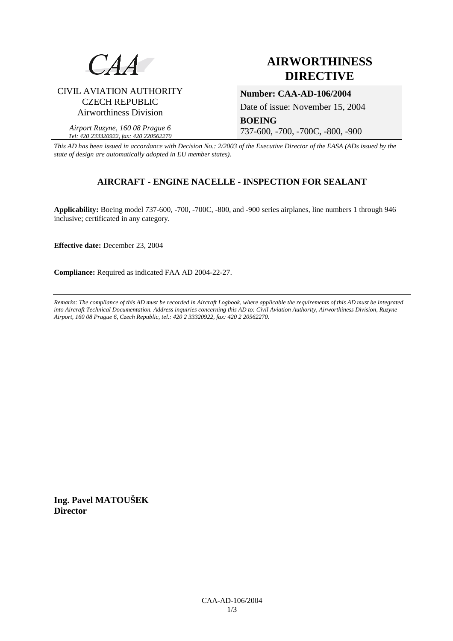

# **AIRWORTHINESS DIRECTIVE**

### CIVIL AVIATION AUTHORITY CZECH REPUBLIC Airworthiness Division

*Airport Ruzyne, 160 08 Prague 6 Tel: 420 233320922, fax: 420 220562270*

**Number: CAA-AD-106/2004** 

Date of issue: November 15, 2004

**BOEING**  737-600, -700, -700C, -800, -900

*This AD has been issued in accordance with Decision No.: 2/2003 of the Executive Director of the EASA (ADs issued by the state of design are automatically adopted in EU member states).*

## **AIRCRAFT - ENGINE NACELLE - INSPECTION FOR SEALANT**

**Applicability:** Boeing model 737-600, -700, -700C, -800, and -900 series airplanes, line numbers 1 through 946 inclusive; certificated in any category.

**Effective date:** December 23, 2004

**Compliance:** Required as indicated FAA AD 2004-22-27.

*Remarks: The compliance of this AD must be recorded in Aircraft Logbook, where applicable the requirements of this AD must be integrated into Aircraft Technical Documentation. Address inquiries concerning this AD to: Civil Aviation Authority, Airworthiness Division, Ruzyne Airport, 160 08 Prague 6, Czech Republic, tel.: 420 2 33320922, fax: 420 2 20562270.* 

**Ing. Pavel MATOUŠEK Director**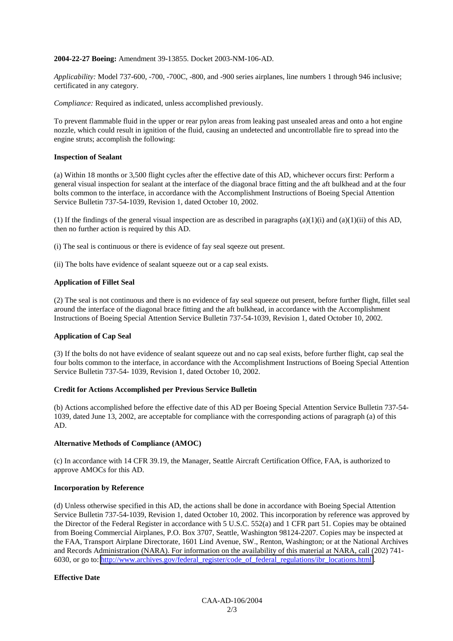#### **2004-22-27 Boeing:** Amendment 39-13855. Docket 2003-NM-106-AD.

*Applicability:* Model 737-600, -700, -700C, -800, and -900 series airplanes, line numbers 1 through 946 inclusive; certificated in any category.

*Compliance:* Required as indicated, unless accomplished previously.

To prevent flammable fluid in the upper or rear pylon areas from leaking past unsealed areas and onto a hot engine nozzle, which could result in ignition of the fluid, causing an undetected and uncontrollable fire to spread into the engine struts; accomplish the following:

#### **Inspection of Sealant**

(a) Within 18 months or 3,500 flight cycles after the effective date of this AD, whichever occurs first: Perform a general visual inspection for sealant at the interface of the diagonal brace fitting and the aft bulkhead and at the four bolts common to the interface, in accordance with the Accomplishment Instructions of Boeing Special Attention Service Bulletin 737-54-1039, Revision 1, dated October 10, 2002.

(1) If the findings of the general visual inspection are as described in paragraphs (a)(1)(i) and (a)(1)(ii) of this AD, then no further action is required by this AD.

(i) The seal is continuous or there is evidence of fay seal sqeeze out present.

(ii) The bolts have evidence of sealant squeeze out or a cap seal exists.

#### **Application of Fillet Seal**

(2) The seal is not continuous and there is no evidence of fay seal squeeze out present, before further flight, fillet seal around the interface of the diagonal brace fitting and the aft bulkhead, in accordance with the Accomplishment Instructions of Boeing Special Attention Service Bulletin 737-54-1039, Revision 1, dated October 10, 2002.

#### **Application of Cap Seal**

(3) If the bolts do not have evidence of sealant squeeze out and no cap seal exists, before further flight, cap seal the four bolts common to the interface, in accordance with the Accomplishment Instructions of Boeing Special Attention Service Bulletin 737-54- 1039, Revision 1, dated October 10, 2002.

#### **Credit for Actions Accomplished per Previous Service Bulletin**

(b) Actions accomplished before the effective date of this AD per Boeing Special Attention Service Bulletin 737-54- 1039, dated June 13, 2002, are acceptable for compliance with the corresponding actions of paragraph (a) of this AD.

#### **Alternative Methods of Compliance (AMOC)**

(c) In accordance with 14 CFR 39.19, the Manager, Seattle Aircraft Certification Office, FAA, is authorized to approve AMOCs for this AD.

#### **Incorporation by Reference**

(d) Unless otherwise specified in this AD, the actions shall be done in accordance with Boeing Special Attention Service Bulletin 737-54-1039, Revision 1, dated October 10, 2002. This incorporation by reference was approved by the Director of the Federal Register in accordance with 5 U.S.C. 552(a) and 1 CFR part 51. Copies may be obtained from Boeing Commercial Airplanes, P.O. Box 3707, Seattle, Washington 98124-2207. Copies may be inspected at the FAA, Transport Airplane Directorate, 1601 Lind Avenue, SW., Renton, Washington; or at the National Archives and Records Administration (NARA). For information on the availability of this material at NARA, call (202) 741- 6030, or go to: [http://www.archives.gov/federal\\_register/code\\_of\\_federal\\_regulations/ibr\\_locations.html](http://www.archives.gov/federal_register/code_of_federal_regulations/ibr_locations.html) .

#### **Effective Date**